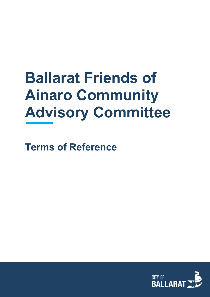# **Ballarat Friends of Ainaro Community Advisory Committee**

**Terms of Reference**

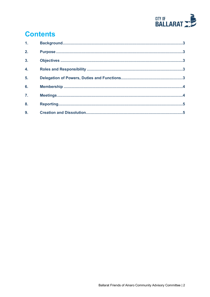

# **Contents**

| 1 <sub>1</sub>   |  |
|------------------|--|
| 2.               |  |
| $\overline{3}$ . |  |
| 4.               |  |
| 5.               |  |
| 6.               |  |
| $\overline{7}$ . |  |
| 8.               |  |
| 9.               |  |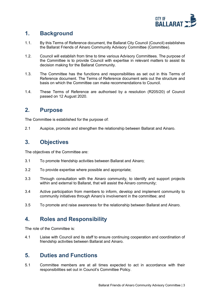

#### <span id="page-2-0"></span>**1. Background**

- 1.1. By this Terms of Reference document, the Ballarat City Council (Council) establishes the Ballarat Friends of Ainaro Community Advisory Committee (Committee).
- 1.2. Council will establish from time to time various Advisory Committees. The purpose of the Committee is to provide Council with expertise in relevant matters to assist its decision making for the Ballarat Community.
- 1.3. The Committee has the functions and responsibilities as set out in this Terms of Reference document. The Terms of Reference document sets out the structure and basis on which the Committee can make recommendations to Council.
- 1.4. These Terms of Reference are authorised by a resolution (R205/20) of Council passed on 12 August 2020.

#### <span id="page-2-1"></span>**2. Purpose**

The Committee is established for the purpose of:

2.1 Auspice, promote and strengthen the relationship between Ballarat and Ainaro.

#### <span id="page-2-2"></span>**3. Objectives**

The objectives of the Committee are:

- 3.1 To promote friendship activities between Ballarat and Ainaro;
- 3.2 To provide expertise where possible and appropriate;
- 3.3 Through consultation with the Ainaro community, to identify and support projects within and external to Ballarat, that will assist the Ainaro community;
- 3.4 Active participation from members to inform, develop and implement community to community initiatives through Ainaro's involvement in the committee; and
- <span id="page-2-3"></span>3.5 To promote and raise awareness for the relationship between Ballarat and Ainaro.

## **4. Roles and Responsibility**

The role of the Committee is:

4.1 Liaise with Council and its staff to ensure continuing cooperation and coordination of friendship activities between Ballarat and Ainaro.

#### <span id="page-2-4"></span>**5. Duties and Functions**

5.1 Committee members are at all times expected to act in accordance with their responsibilities set out in Council's Committee Policy.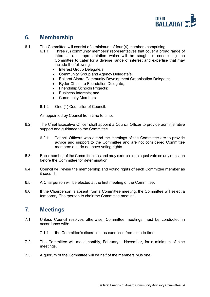

### <span id="page-3-0"></span>**6. Membership**

- 6.1. The Committee will consist of a minimum of four (4) members comprising:
	- 6.1.1 Three (3) community members' representatives that cover a broad range of interests and representation which will be sought in constituting the Committee to cater for a diverse range of interest and expertise that may include the following:
		- Interest Group Delegate/s
		- Community Group and Agency Delegate/s;
		- Ballarat Ainaro Community Development Organisation Delegate;
		- Ryder Cheshire Foundation Delegate;
		- Friendship Schools Projects;
		- Business Interests; and
		- Community Members
	- 6.1.2 One (1) Councillor of Council.

As appointed by Council from time to time.

- 6.2. The Chief Executive Officer shall appoint a Council Officer to provide administrative support and guidance to the Committee.
	- 6.2.1 Council Officers who attend the meetings of the Committee are to provide advice and support to the Committee and are not considered Committee members and do not have voting rights.
- 6.3. Each member of the Committee has and may exercise one equal vote on any question before the Committee for determination.
- 6.4. Council will revise the membership and voting rights of each Committee member as it sees fit.
- 6.5. A Chairperson will be elected at the first meeting of the Committee.
- 6.6. If the Chairperson is absent from a Committee meeting, the Committee will select a temporary Chairperson to chair the Committee meeting.

#### <span id="page-3-1"></span>**7. Meetings**

- 7.1 Unless Council resolves otherwise, Committee meetings must be conducted in accordance with:
	- 7.1.1 the Committee's discretion, as exercised from time to time.
- 7.2 The Committee will meet monthly, February November, for a minimum of nine meetings.
- 7.3 A quorum of the Committee will be half of the members plus one.